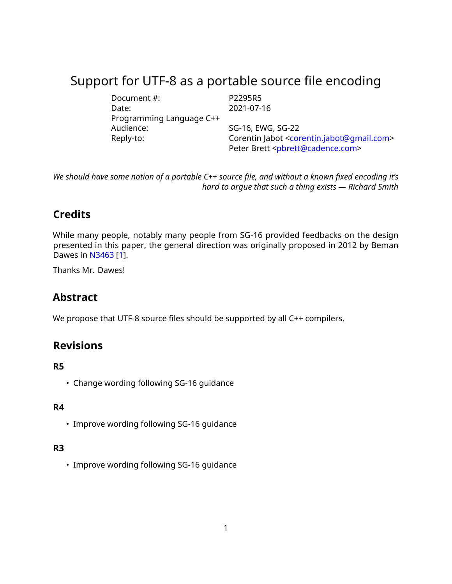# Support for UTF-8 as a portable source file encoding

| Document #:              | P2295R5                                                              |  |
|--------------------------|----------------------------------------------------------------------|--|
| Date:                    | 2021-07-16                                                           |  |
| Programming Language C++ |                                                                      |  |
| Audience:                | SG-16, EWG, SG-22                                                    |  |
| Reply-to:                | Corentin Jabot <corentin.jabot@qmail.com></corentin.jabot@qmail.com> |  |
|                          | Peter Brett <pbrett@cadence.com></pbrett@cadence.com>                |  |

*We should have some notion of a portable C++ source file, and without a known fixed encoding it's hard to argue that such a thing exists — Richard Smith*

## **Credits**

While many people, notably many people from SG-16 provided feedbacks on the design presented in this paper, the general direction was originally proposed in 2012 by Beman Dawes in [N3463](https://wg21.link/N3463) [\[1\]](#page-8-0).

Thanks Mr. Dawes!

## **Abstract**

We propose that UTF-8 source files should be supported by all C++ compilers.

## **Revisions**

#### **R5**

• Change wording following SG-16 guidance

### **R4**

• Improve wording following SG-16 guidance

#### **R3**

• Improve wording following SG-16 guidance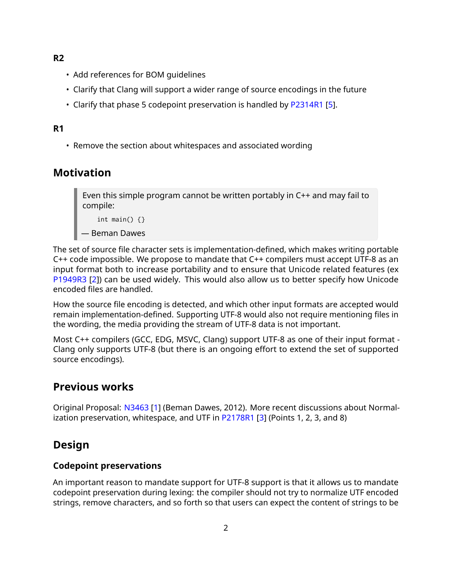**R2**

- Add references for BOM guidelines
- Clarify that Clang will support a wider range of source encodings in the future
- Clarify that phase 5 codepoint preservation is handled by [P2314R1](https://wg21.link/P2314R1) [\[5\]](#page-8-1).

#### **R1**

• Remove the section about whitespaces and associated wording

## **Motivation**

Even this simple program cannot be written portably in C++ and may fail to compile:

int main()  $\{\}$ 

```
— Beman Dawes
```
The set of source file character sets is implementation-defined, which makes writing portable C++ code impossible. We propose to mandate that C++ compilers must accept UTF-8 as an input format both to increase portability and to ensure that Unicode related features (ex [P1949R3](https://wg21.link/P1949R3) [\[2\]](#page-8-2)) can be used widely. This would also allow us to better specify how Unicode encoded files are handled.

How the source file encoding is detected, and which other input formats are accepted would remain implementation-defined. Supporting UTF-8 would also not require mentioning files in the wording, the media providing the stream of UTF-8 data is not important.

Most C++ compilers (GCC, EDG, MSVC, Clang) support UTF-8 as one of their input format - Clang only supports UTF-8 (but there is an ongoing effort to extend the set of supported source encodings).

## **Previous works**

Original Proposal: [N3463](https://wg21.link/N3463) [\[1\]](#page-8-0) (Beman Dawes, 2012). More recent discussions about Normal-ization preservation, whitespace, and UTF in [P2178R1](https://wg21.link/P2178R1) [\[3\]](#page-8-3) (Points 1, 2, 3, and 8)

## **Design**

#### **Codepoint preservations**

An important reason to mandate support for UTF-8 support is that it allows us to mandate codepoint preservation during lexing: the compiler should not try to normalize UTF encoded strings, remove characters, and so forth so that users can expect the content of strings to be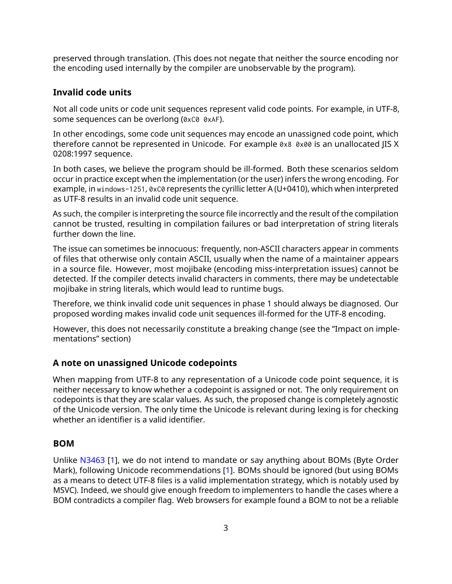preserved through translation. (This does not negate that neither the source encoding nor the encoding used internally by the compiler are unobservable by the program).

#### **Invalid code units**

Not all code units or code unit sequences represent valid code points. For example, in UTF-8, some sequences can be overlong (0xC0 0xAF).

In other encodings, some code unit sequences may encode an unassigned code point, which therefore cannot be represented in Unicode. For example 0x8 0x00 is an unallocated JIS X 0208:1997 sequence.

In both cases, we believe the program should be ill-formed. Both these scenarios seldom occur in practice except when the implementation (or the user) infers the wrong encoding. For example, in windows-1251, 0xC0 represents the cyrillic letter A (U+0410), which when interpreted as UTF-8 results in an invalid code unit sequence.

As such, the compiler is interpreting the source file incorrectly and the result of the compilation cannot be trusted, resulting in compilation failures or bad interpretation of string literals further down the line.

The issue can sometimes be innocuous: frequently, non-ASCII characters appear in comments of files that otherwise only contain ASCII, usually when the name of a maintainer appears in a source file. However, most mojibake (encoding miss-interpretation issues) cannot be detected. If the compiler detects invalid characters in comments, there may be undetectable mojibake in string literals, which would lead to runtime bugs.

Therefore, we think invalid code unit sequences in phase 1 should always be diagnosed. Our proposed wording makes invalid code unit sequences ill-formed for the UTF-8 encoding.

However, this does not necessarily constitute a breaking change (see the "Impact on implementations" section)

#### **A note on unassigned Unicode codepoints**

When mapping from UTF-8 to any representation of a Unicode code point sequence, it is neither necessary to know whether a codepoint is assigned or not. The only requirement on codepoints is that they are scalar values. As such, the proposed change is completely agnostic of the Unicode version. The only time the Unicode is relevant during lexing is for checking whether an identifier is a valid identifier.

#### **BOM**

Unlike [N3463](https://wg21.link/N3463) [\[1\]](#page-8-0), we do not intend to mandate or say anything about BOMs (Byte Order Mark), following Unicode recommendations [\[1\]](#page-8-4). BOMs should be ignored (but using BOMs as a means to detect UTF-8 files is a valid implementation strategy, which is notably used by MSVC). Indeed, we should give enough freedom to implementers to handle the cases where a BOM contradicts a compiler flag. Web browsers for example found a BOM to not be a reliable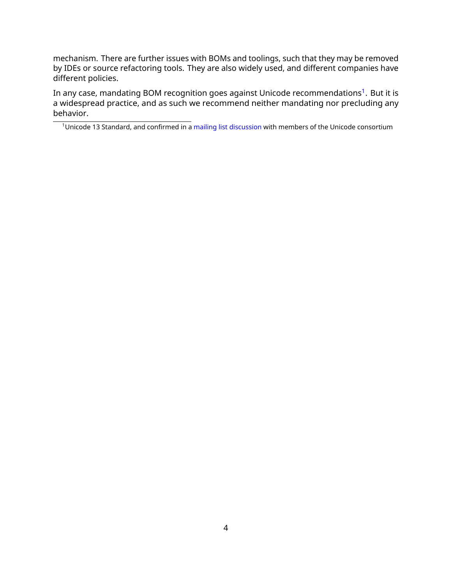mechanism. There are further issues with BOMs and toolings, such that they may be removed by IDEs or source refactoring tools. They are also widely used, and different companies have different policies.

In any case, mandating BOM recognition goes against Unicode recommendations<sup>[1](#page-3-0)</sup>. But it is a widespread practice, and as such we recommend neither mandating nor precluding any behavior.

<span id="page-3-0"></span><sup>&</sup>lt;sup>1</sup> Unicode 13 Standard, and confirmed in a [mailing list discussion](https://corp.unicode.org/mailman/private/unicode/2020-June/008716.html) with members of the Unicode consortium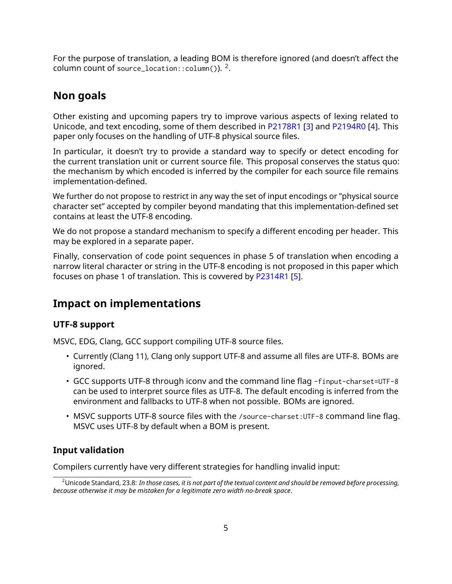For the purpose of translation, a leading BOM is therefore ignored (and doesn't affect the  $\,$  column count of source\_location:: $\,$ column()). $\,$ [2](#page-4-0).

## **Non goals**

Other existing and upcoming papers try to improve various aspects of lexing related to Unicode, and text encoding, some of them described in [P2178R1](https://wg21.link/P2178R1) [\[3\]](#page-8-3) and [P2194R0](https://wg21.link/P2194R0) [\[4\]](#page-8-5). This paper only focuses on the handling of UTF-8 physical source files.

In particular, it doesn't try to provide a standard way to specify or detect encoding for the current translation unit or current source file. This proposal conserves the status quo: the mechanism by which encoded is inferred by the compiler for each source file remains implementation-defined.

We further do not propose to restrict in any way the set of input encodings or "physical source character set" accepted by compiler beyond mandating that this implementation-defined set contains at least the UTF-8 encoding.

We do not propose a standard mechanism to specify a different encoding per header. This may be explored in a separate paper.

Finally, conservation of code point sequences in phase 5 of translation when encoding a narrow literal character or string in the UTF-8 encoding is not proposed in this paper which focuses on phase 1 of translation. This is covvered by [P2314R1](https://wg21.link/P2314R1) [\[5\]](#page-8-1).

## **Impact on implementations**

#### **UTF-8 support**

MSVC, EDG, Clang, GCC support compiling UTF-8 source files.

- Currently (Clang 11), Clang only support UTF-8 and assume all files are UTF-8. BOMs are ignored.
- GCC supports UTF-8 through iconv and the command line flag -finput-charset=UTF-8 can be used to interpret source files as UTF-8. The default encoding is inferred from the environment and fallbacks to UTF-8 when not possible. BOMs are ignored.
- MSVC supports UTF-8 source files with the /source-charset:UTF-8 command line flag. MSVC uses UTF-8 by default when a BOM is present.

## **Input validation**

Compilers currently have very different strategies for handling invalid input:

<span id="page-4-0"></span><sup>2</sup>Unicode Standard, 23.8: *In those cases, it is not part of the textual content and should be removed before processing, because otherwise it may be mistaken for a legitimate zero width no-break space*.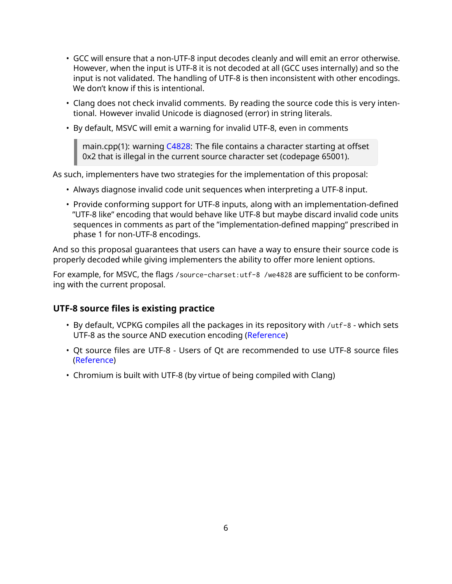- GCC will ensure that a non-UTF-8 input decodes cleanly and will emit an error otherwise. However, when the input is UTF-8 it is not decoded at all (GCC uses internally) and so the input is not validated. The handling of UTF-8 is then inconsistent with other encodings. We don't know if this is intentional.
- Clang does not check invalid comments. By reading the source code this is very intentional. However invalid Unicode is diagnosed (error) in string literals.
- By default, MSVC will emit a warning for invalid UTF-8, even in comments

main.cpp(1): warning  $C4828$ : The file contains a character starting at offset 0x2 that is illegal in the current source character set (codepage 65001).

As such, implementers have two strategies for the implementation of this proposal:

- Always diagnose invalid code unit sequences when interpreting a UTF-8 input.
- Provide conforming support for UTF-8 inputs, along with an implementation-defined "UTF-8 like" encoding that would behave like UTF-8 but maybe discard invalid code units sequences in comments as part of the "implementation-defined mapping" prescribed in phase 1 for non-UTF-8 encodings.

And so this proposal guarantees that users can have a way to ensure their source code is properly decoded while giving implementers the ability to offer more lenient options.

For example, for MSVC, the flags /source-charset:utf-8 /we4828 are sufficient to be conforming with the current proposal.

#### **UTF-8 source files is existing practice**

- By default, VCPKG compiles all the packages in its repository with /utf-8 which sets UTF-8 as the source AND execution encoding [\(Reference\)](https://github.com/vicroms/vcpkg/blob/master/scripts/toolchains/windows.cmake#L16)
- Qt source files are UTF-8 Users of Qt are recommended to use UTF-8 source files [\(Reference\)](https://wiki.qt.io/Strings_and_encodings_in_Qt)
- Chromium is built with UTF-8 (by virtue of being compiled with Clang)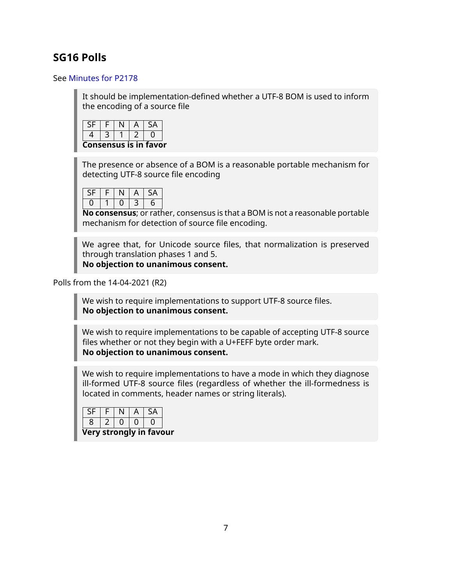## **SG16 Polls**

#### See [Minutes for P2178](https://github.com/sg16-unicode/sg16-meetings/blob/master/README-2020.md)

It should be implementation-defined whether a UTF-8 BOM is used to inform the encoding of a source file



The presence or absence of a BOM is a reasonable portable mechanism for detecting UTF-8 source file encoding

|  | ۰ |   |
|--|---|---|
|  |   | ჩ |

**No consensus**; or rather, consensus is that a BOM is not a reasonable portable mechanism for detection of source file encoding.

We agree that, for Unicode source files, that normalization is preserved through translation phases 1 and 5. **No objection to unanimous consent.**

Polls from the 14-04-2021 (R2)

We wish to require implementations to support UTF-8 source files. **No objection to unanimous consent.**

We wish to require implementations to be capable of accepting UTF-8 source files whether or not they begin with a U+FEFF byte order mark. **No objection to unanimous consent.**

We wish to require implementations to have a mode in which they diagnose ill-formed UTF-8 source files (regardless of whether the ill-formedness is located in comments, header names or string literals).

|   | Ξ |  |  |
|---|---|--|--|
| ۰ |   |  |  |
|   |   |  |  |

**Very strongly in favour**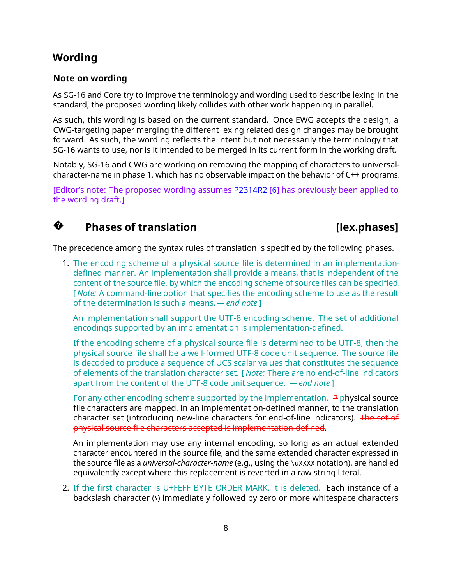## **Wording**

**?**

#### **Note on wording**

As SG-16 and Core try to improve the terminology and wording used to describe lexing in the standard, the proposed wording likely collides with other work happening in parallel.

As such, this wording is based on the current standard. Once EWG accepts the design, a CWG-targeting paper merging the different lexing related design changes may be brought forward. As such, the wording reflects the intent but not necessarily the terminology that SG-16 wants to use, nor is it intended to be merged in its current form in the working draft.

Notably, SG-16 and CWG are working on removing the mapping of characters to universalcharacter-name in phase 1, which has no observable impact on the behavior of C++ programs.

[Editor's note: The proposed wording assumes [P2314R2](https://wg21.link/P2314R2) [\[6\]](#page-8-6) has previously been applied to the wording draft.]

## **Phases of translation in the contract of the contract of the contract of the contract of the contract of the contract of the contract of the contract of the contract of the contract of the contract of the contract of the**

The precedence among the syntax rules of translation is specified by the following phases.

1. The encoding scheme of a physical source file is determined in an implementationdefined manner. An implementation shall provide a means, that is independent of the content of the source file, by which the encoding scheme of source files can be specified. [ *Note:* A command-line option that specifies the encoding scheme to use as the result of the determination is such a means. *— end note* ]

An implementation shall support the UTF-8 encoding scheme. The set of additional encodings supported by an implementation is implementation-defined.

If the encoding scheme of a physical source file is determined to be UTF-8, then the physical source file shall be a well-formed UTF-8 code unit sequence. The source file is decoded to produce a sequence of UCS scalar values that constitutes the sequence of elements of the translation character set. [ *Note:* There are no end-of-line indicators apart from the content of the UTF-8 code unit sequence. *— end note* ]

For any other encoding scheme supported by the implementation,  $\overline{P}$  physical source file characters are mapped, in an implementation-defined manner, to the translation character set (introducing new-line characters for end-of-line indicators). The set of physical source file characters accepted is implementation-defined.

An implementation may use any internal encoding, so long as an actual extended character encountered in the source file, and the same extended character expressed in the source file as a *universal-character-name* (e.g., using the \uXXXX notation), are handled equivalently except where this replacement is reverted in a raw string literal.

2. If the first character is U+FEFF BYTE ORDER MARK, it is deleted. Each instance of a backslash character (\) immediately followed by zero or more whitespace characters